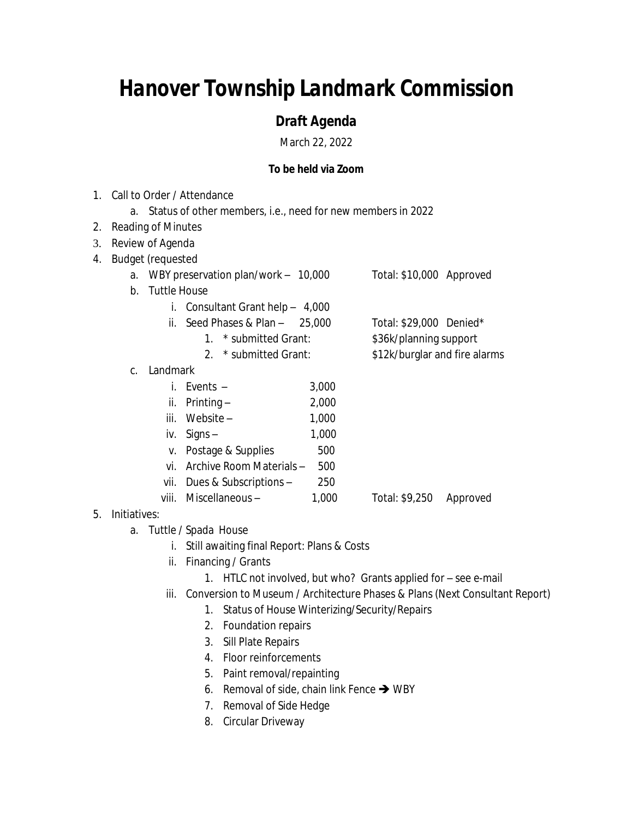## *Hanover Township Landmark Commission*

## *Draft Agenda*

March 22, 2022

## **To be held via Zoom**

- 1. Call to Order / Attendance a. Status of other members, i.e., need for new members in 2022 2. Reading of Minutes 3. Review of Agenda 4. Budget (requested a. WBY preservation plan/work – 10,000 Total: \$10,000 Approved b. Tuttle House i. Consultant Grant help – 4,000 ii. Seed Phases & Plan –  $25,000$  Total: \$29,000 Denied\* 1. \* submitted Grant: \$36k/planning support 2. \* submitted Grant: \$12k/burglar and fire alarms c. Landmark i. Events – 3,000 ii. Printing  $-$  2,000  $iii.$  Website –  $1,000$ iv. Signs –  $1,000$ v. Postage & Supplies 500 vi. Archive Room Materials – 500 vii. Dues & Subscriptions – 250 viii. Miscellaneous – 1,000 Total: \$9,250 Approved
- 5. Initiatives:
	- a. Tuttle / Spada House
		- i. Still awaiting final Report: Plans & Costs
		- ii. Financing / Grants
			- 1. HTLC not involved, but who? Grants applied for see e-mail
		- iii. Conversion to Museum / Architecture Phases & Plans (Next Consultant Report)
			- 1. Status of House Winterizing/Security/Repairs
			- 2. Foundation repairs
			- 3. Sill Plate Repairs
			- 4. Floor reinforcements
			- 5. Paint removal/repainting
			- 6. Removal of side, chain link Fence  $\rightarrow$  WBY
			- 7. Removal of Side Hedge
			- 8. Circular Driveway